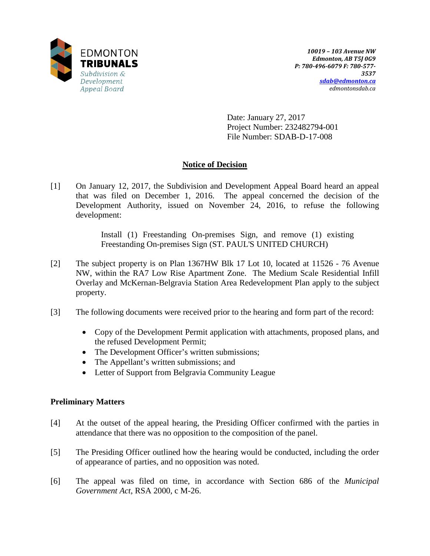

Date: January 27, 2017 Project Number: 232482794-001 File Number: SDAB-D-17-008

# **Notice of Decision**

[1] On January 12, 2017, the Subdivision and Development Appeal Board heard an appeal that was filed on December 1, 2016. The appeal concerned the decision of the Development Authority, issued on November 24, 2016, to refuse the following development:

> Install (1) Freestanding On-premises Sign, and remove (1) existing Freestanding On-premises Sign (ST. PAUL'S UNITED CHURCH)

- [2] The subject property is on Plan 1367HW Blk 17 Lot 10, located at 11526 76 Avenue NW, within the RA7 Low Rise Apartment Zone. The Medium Scale Residential Infill Overlay and McKernan-Belgravia Station Area Redevelopment Plan apply to the subject property.
- [3] The following documents were received prior to the hearing and form part of the record:
	- Copy of the Development Permit application with attachments, proposed plans, and the refused Development Permit;
	- The Development Officer's written submissions;
	- The Appellant's written submissions; and
	- Letter of Support from Belgravia Community League

# **Preliminary Matters**

- [4] At the outset of the appeal hearing, the Presiding Officer confirmed with the parties in attendance that there was no opposition to the composition of the panel.
- [5] The Presiding Officer outlined how the hearing would be conducted, including the order of appearance of parties, and no opposition was noted.
- [6] The appeal was filed on time, in accordance with Section 686 of the *Municipal Government Act*, RSA 2000, c M-26.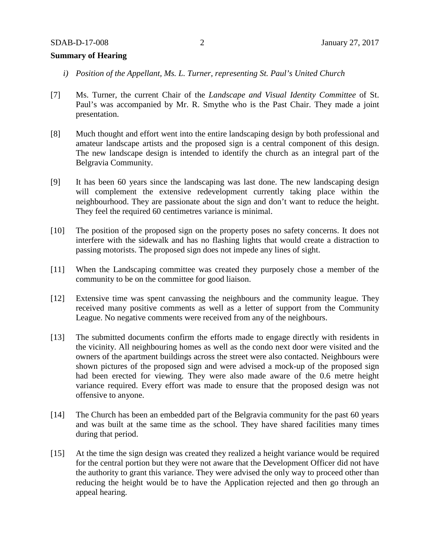## **Summary of Hearing**

- *i) Position of the Appellant, Ms. L. Turner, representing St. Paul's United Church*
- [7] Ms. Turner, the current Chair of the *Landscape and Visual Identity Committee* of St. Paul's was accompanied by Mr. R. Smythe who is the Past Chair. They made a joint presentation.
- [8] Much thought and effort went into the entire landscaping design by both professional and amateur landscape artists and the proposed sign is a central component of this design. The new landscape design is intended to identify the church as an integral part of the Belgravia Community.
- [9] It has been 60 years since the landscaping was last done. The new landscaping design will complement the extensive redevelopment currently taking place within the neighbourhood. They are passionate about the sign and don't want to reduce the height. They feel the required 60 centimetres variance is minimal.
- [10] The position of the proposed sign on the property poses no safety concerns. It does not interfere with the sidewalk and has no flashing lights that would create a distraction to passing motorists. The proposed sign does not impede any lines of sight.
- [11] When the Landscaping committee was created they purposely chose a member of the community to be on the committee for good liaison.
- [12] Extensive time was spent canvassing the neighbours and the community league. They received many positive comments as well as a letter of support from the Community League. No negative comments were received from any of the neighbours.
- [13] The submitted documents confirm the efforts made to engage directly with residents in the vicinity. All neighbouring homes as well as the condo next door were visited and the owners of the apartment buildings across the street were also contacted. Neighbours were shown pictures of the proposed sign and were advised a mock-up of the proposed sign had been erected for viewing. They were also made aware of the 0.6 metre height variance required. Every effort was made to ensure that the proposed design was not offensive to anyone.
- [14] The Church has been an embedded part of the Belgravia community for the past 60 years and was built at the same time as the school. They have shared facilities many times during that period.
- [15] At the time the sign design was created they realized a height variance would be required for the central portion but they were not aware that the Development Officer did not have the authority to grant this variance. They were advised the only way to proceed other than reducing the height would be to have the Application rejected and then go through an appeal hearing.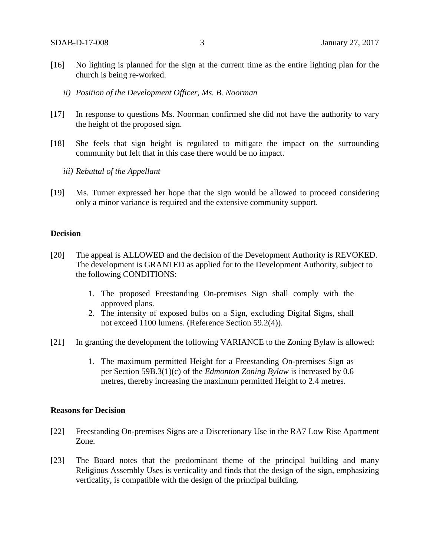- [16] No lighting is planned for the sign at the current time as the entire lighting plan for the church is being re-worked.
	- *ii) Position of the Development Officer, Ms. B. Noorman*
- [17] In response to questions Ms. Noorman confirmed she did not have the authority to vary the height of the proposed sign.
- [18] She feels that sign height is regulated to mitigate the impact on the surrounding community but felt that in this case there would be no impact.
	- *iii) Rebuttal of the Appellant*
- [19] Ms. Turner expressed her hope that the sign would be allowed to proceed considering only a minor variance is required and the extensive community support.

#### **Decision**

- [20] The appeal is ALLOWED and the decision of the Development Authority is REVOKED. The development is GRANTED as applied for to the Development Authority, subject to the following CONDITIONS:
	- 1. The proposed Freestanding On-premises Sign shall comply with the approved plans.
	- 2. The intensity of exposed bulbs on a Sign, excluding Digital Signs, shall not exceed 1100 lumens. (Reference Section 59.2(4)).
- [21] In granting the development the following VARIANCE to the Zoning Bylaw is allowed:
	- 1. The maximum permitted Height for a Freestanding On-premises Sign as per Section 59B.3(1)(c) of the *Edmonton Zoning Bylaw* is increased by 0.6 metres, thereby increasing the maximum permitted Height to 2.4 metres.

#### **Reasons for Decision**

- [22] Freestanding On-premises Signs are a Discretionary Use in the RA7 Low Rise Apartment Zone.
- [23] The Board notes that the predominant theme of the principal building and many Religious Assembly Uses is verticality and finds that the design of the sign, emphasizing verticality, is compatible with the design of the principal building.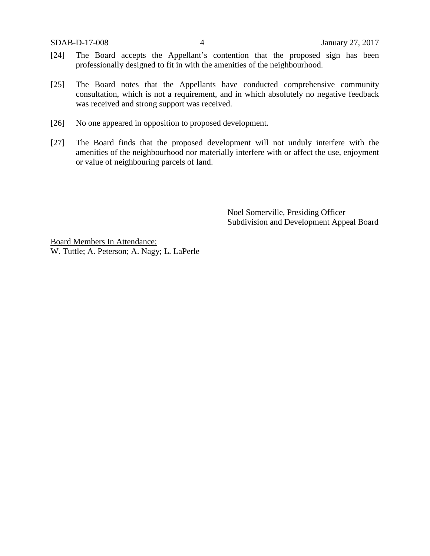SDAB-D-17-008 4 January 27, 2017

- [24] The Board accepts the Appellant's contention that the proposed sign has been professionally designed to fit in with the amenities of the neighbourhood.
- [25] The Board notes that the Appellants have conducted comprehensive community consultation, which is not a requirement, and in which absolutely no negative feedback was received and strong support was received.
- [26] No one appeared in opposition to proposed development.
- [27] The Board finds that the proposed development will not unduly interfere with the amenities of the neighbourhood nor materially interfere with or affect the use, enjoyment or value of neighbouring parcels of land.

Noel Somerville, Presiding Officer Subdivision and Development Appeal Board

Board Members In Attendance: W. Tuttle; A. Peterson; A. Nagy; L. LaPerle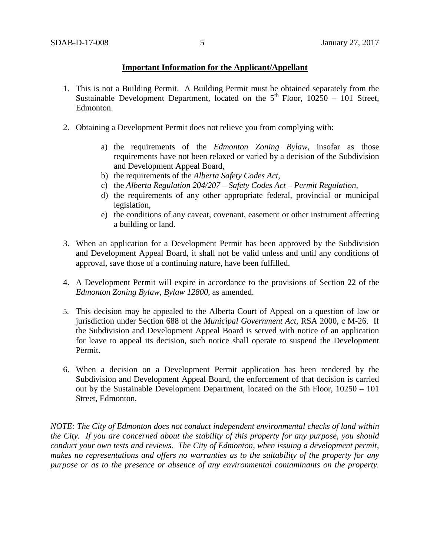# **Important Information for the Applicant/Appellant**

- 1. This is not a Building Permit. A Building Permit must be obtained separately from the Sustainable Development Department, located on the  $5<sup>th</sup>$  Floor, 10250 – 101 Street, Edmonton.
- 2. Obtaining a Development Permit does not relieve you from complying with:
	- a) the requirements of the *Edmonton Zoning Bylaw*, insofar as those requirements have not been relaxed or varied by a decision of the Subdivision and Development Appeal Board,
	- b) the requirements of the *Alberta Safety Codes Act*,
	- c) the *Alberta Regulation 204/207 – Safety Codes Act – Permit Regulation*,
	- d) the requirements of any other appropriate federal, provincial or municipal legislation,
	- e) the conditions of any caveat, covenant, easement or other instrument affecting a building or land.
- 3. When an application for a Development Permit has been approved by the Subdivision and Development Appeal Board, it shall not be valid unless and until any conditions of approval, save those of a continuing nature, have been fulfilled.
- 4. A Development Permit will expire in accordance to the provisions of Section 22 of the *Edmonton Zoning Bylaw, Bylaw 12800*, as amended.
- 5. This decision may be appealed to the Alberta Court of Appeal on a question of law or jurisdiction under Section 688 of the *Municipal Government Act*, RSA 2000, c M-26. If the Subdivision and Development Appeal Board is served with notice of an application for leave to appeal its decision, such notice shall operate to suspend the Development Permit.
- 6. When a decision on a Development Permit application has been rendered by the Subdivision and Development Appeal Board, the enforcement of that decision is carried out by the Sustainable Development Department, located on the 5th Floor, 10250 – 101 Street, Edmonton.

*NOTE: The City of Edmonton does not conduct independent environmental checks of land within the City. If you are concerned about the stability of this property for any purpose, you should conduct your own tests and reviews. The City of Edmonton, when issuing a development permit, makes no representations and offers no warranties as to the suitability of the property for any purpose or as to the presence or absence of any environmental contaminants on the property.*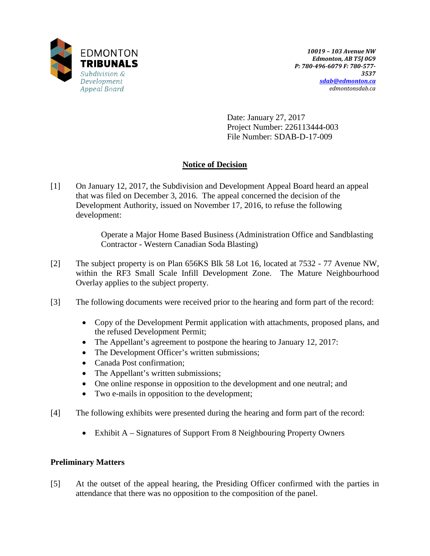

Date: January 27, 2017 Project Number: 226113444-003 File Number: SDAB-D-17-009

# **Notice of Decision**

[1] On January 12, 2017, the Subdivision and Development Appeal Board heard an appeal that was filed on December 3, 2016. The appeal concerned the decision of the Development Authority, issued on November 17, 2016, to refuse the following development:

> Operate a Major Home Based Business (Administration Office and Sandblasting Contractor - Western Canadian Soda Blasting)

- [2] The subject property is on Plan 656KS Blk 58 Lot 16, located at 7532 77 Avenue NW, within the RF3 Small Scale Infill Development Zone. The Mature Neighbourhood Overlay applies to the subject property.
- [3] The following documents were received prior to the hearing and form part of the record:
	- Copy of the Development Permit application with attachments, proposed plans, and the refused Development Permit;
	- The Appellant's agreement to postpone the hearing to January 12, 2017:
	- The Development Officer's written submissions;
	- Canada Post confirmation;
	- The Appellant's written submissions;
	- One online response in opposition to the development and one neutral; and
	- Two e-mails in opposition to the development;
- [4] The following exhibits were presented during the hearing and form part of the record:
	- Exhibit A Signatures of Support From 8 Neighbouring Property Owners

# **Preliminary Matters**

[5] At the outset of the appeal hearing, the Presiding Officer confirmed with the parties in attendance that there was no opposition to the composition of the panel.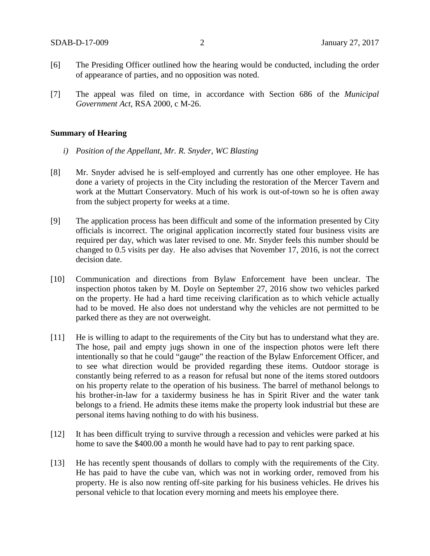- [6] The Presiding Officer outlined how the hearing would be conducted, including the order of appearance of parties, and no opposition was noted.
- [7] The appeal was filed on time, in accordance with Section 686 of the *Municipal Government Act*, RSA 2000, c M-26.

#### **Summary of Hearing**

- *i) Position of the Appellant, Mr. R. Snyder, WC Blasting*
- [8] Mr. Snyder advised he is self-employed and currently has one other employee. He has done a variety of projects in the City including the restoration of the Mercer Tavern and work at the Muttart Conservatory. Much of his work is out-of-town so he is often away from the subject property for weeks at a time.
- [9] The application process has been difficult and some of the information presented by City officials is incorrect. The original application incorrectly stated four business visits are required per day, which was later revised to one. Mr. Snyder feels this number should be changed to 0.5 visits per day. He also advises that November 17, 2016, is not the correct decision date.
- [10] Communication and directions from Bylaw Enforcement have been unclear. The inspection photos taken by M. Doyle on September 27, 2016 show two vehicles parked on the property. He had a hard time receiving clarification as to which vehicle actually had to be moved. He also does not understand why the vehicles are not permitted to be parked there as they are not overweight.
- [11] He is willing to adapt to the requirements of the City but has to understand what they are. The hose, pail and empty jugs shown in one of the inspection photos were left there intentionally so that he could "gauge" the reaction of the Bylaw Enforcement Officer, and to see what direction would be provided regarding these items. Outdoor storage is constantly being referred to as a reason for refusal but none of the items stored outdoors on his property relate to the operation of his business. The barrel of methanol belongs to his brother-in-law for a taxidermy business he has in Spirit River and the water tank belongs to a friend. He admits these items make the property look industrial but these are personal items having nothing to do with his business.
- [12] It has been difficult trying to survive through a recession and vehicles were parked at his home to save the \$400.00 a month he would have had to pay to rent parking space.
- [13] He has recently spent thousands of dollars to comply with the requirements of the City. He has paid to have the cube van, which was not in working order, removed from his property. He is also now renting off-site parking for his business vehicles. He drives his personal vehicle to that location every morning and meets his employee there.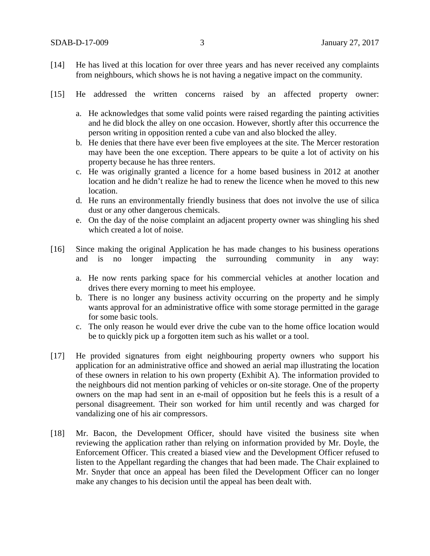- [14] He has lived at this location for over three years and has never received any complaints from neighbours, which shows he is not having a negative impact on the community.
- [15] He addressed the written concerns raised by an affected property owner:
	- a. He acknowledges that some valid points were raised regarding the painting activities and he did block the alley on one occasion. However, shortly after this occurrence the person writing in opposition rented a cube van and also blocked the alley.
	- b. He denies that there have ever been five employees at the site. The Mercer restoration may have been the one exception. There appears to be quite a lot of activity on his property because he has three renters.
	- c. He was originally granted a licence for a home based business in 2012 at another location and he didn't realize he had to renew the licence when he moved to this new location.
	- d. He runs an environmentally friendly business that does not involve the use of silica dust or any other dangerous chemicals.
	- e. On the day of the noise complaint an adjacent property owner was shingling his shed which created a lot of noise.
- [16] Since making the original Application he has made changes to his business operations and is no longer impacting the surrounding community in any way:
	- a. He now rents parking space for his commercial vehicles at another location and drives there every morning to meet his employee.
	- b. There is no longer any business activity occurring on the property and he simply wants approval for an administrative office with some storage permitted in the garage for some basic tools.
	- c. The only reason he would ever drive the cube van to the home office location would be to quickly pick up a forgotten item such as his wallet or a tool.
- [17] He provided signatures from eight neighbouring property owners who support his application for an administrative office and showed an aerial map illustrating the location of these owners in relation to his own property (Exhibit A). The information provided to the neighbours did not mention parking of vehicles or on-site storage. One of the property owners on the map had sent in an e-mail of opposition but he feels this is a result of a personal disagreement. Their son worked for him until recently and was charged for vandalizing one of his air compressors.
- [18] Mr. Bacon, the Development Officer, should have visited the business site when reviewing the application rather than relying on information provided by Mr. Doyle, the Enforcement Officer. This created a biased view and the Development Officer refused to listen to the Appellant regarding the changes that had been made. The Chair explained to Mr. Snyder that once an appeal has been filed the Development Officer can no longer make any changes to his decision until the appeal has been dealt with.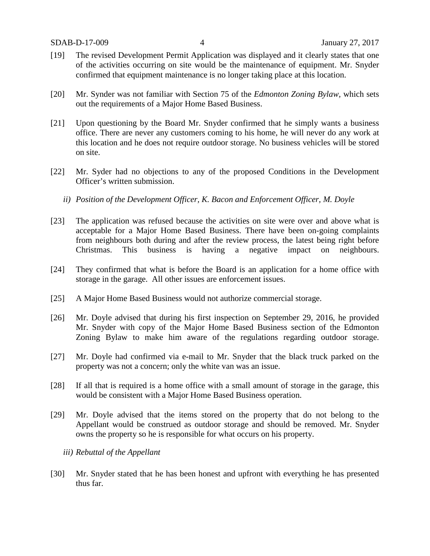- [19] The revised Development Permit Application was displayed and it clearly states that one of the activities occurring on site would be the maintenance of equipment. Mr. Snyder confirmed that equipment maintenance is no longer taking place at this location.
- [20] Mr. Synder was not familiar with Section 75 of the *Edmonton Zoning Bylaw,* which sets out the requirements of a Major Home Based Business.
- [21] Upon questioning by the Board Mr. Snyder confirmed that he simply wants a business office. There are never any customers coming to his home, he will never do any work at this location and he does not require outdoor storage. No business vehicles will be stored on site.
- [22] Mr. Syder had no objections to any of the proposed Conditions in the Development Officer's written submission.
	- *ii) Position of the Development Officer, K. Bacon and Enforcement Officer, M. Doyle*
- [23] The application was refused because the activities on site were over and above what is acceptable for a Major Home Based Business. There have been on-going complaints from neighbours both during and after the review process, the latest being right before Christmas. This business is having a negative impact on neighbours.
- [24] They confirmed that what is before the Board is an application for a home office with storage in the garage. All other issues are enforcement issues.
- [25] A Major Home Based Business would not authorize commercial storage.
- [26] Mr. Doyle advised that during his first inspection on September 29, 2016, he provided Mr. Snyder with copy of the Major Home Based Business section of the Edmonton Zoning Bylaw to make him aware of the regulations regarding outdoor storage.
- [27] Mr. Doyle had confirmed via e-mail to Mr. Snyder that the black truck parked on the property was not a concern; only the white van was an issue.
- [28] If all that is required is a home office with a small amount of storage in the garage, this would be consistent with a Major Home Based Business operation.
- [29] Mr. Doyle advised that the items stored on the property that do not belong to the Appellant would be construed as outdoor storage and should be removed. Mr. Snyder owns the property so he is responsible for what occurs on his property.
	- *iii) Rebuttal of the Appellant*
- [30] Mr. Snyder stated that he has been honest and upfront with everything he has presented thus far.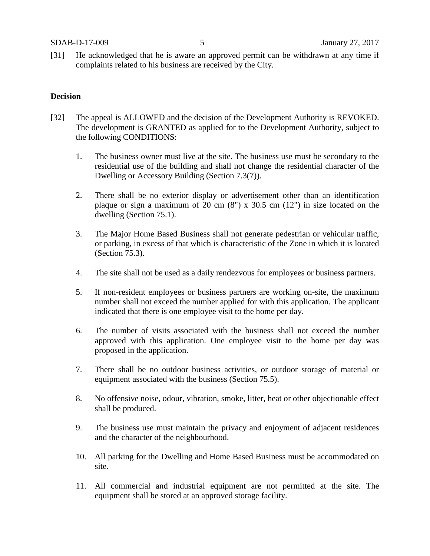[31] He acknowledged that he is aware an approved permit can be withdrawn at any time if complaints related to his business are received by the City.

### **Decision**

- [32] The appeal is ALLOWED and the decision of the Development Authority is REVOKED. The development is GRANTED as applied for to the Development Authority, subject to the following CONDITIONS:
	- 1. The business owner must live at the site. The business use must be secondary to the residential use of the building and shall not change the residential character of the Dwelling or Accessory Building (Section 7.3(7)).
	- 2. There shall be no exterior display or advertisement other than an identification plaque or sign a maximum of 20 cm  $(8)$  x 30.5 cm  $(12)$  in size located on the dwelling (Section 75.1).
	- 3. The Major Home Based Business shall not generate pedestrian or vehicular traffic, or parking, in excess of that which is characteristic of the Zone in which it is located (Section 75.3).
	- 4. The site shall not be used as a daily rendezvous for employees or business partners.
	- 5. If non-resident employees or business partners are working on-site, the maximum number shall not exceed the number applied for with this application. The applicant indicated that there is one employee visit to the home per day.
	- 6. The number of visits associated with the business shall not exceed the number approved with this application. One employee visit to the home per day was proposed in the application.
	- 7. There shall be no outdoor business activities, or outdoor storage of material or equipment associated with the business (Section 75.5).
	- 8. No offensive noise, odour, vibration, smoke, litter, heat or other objectionable effect shall be produced.
	- 9. The business use must maintain the privacy and enjoyment of adjacent residences and the character of the neighbourhood.
	- 10. All parking for the Dwelling and Home Based Business must be accommodated on site.
	- 11. All commercial and industrial equipment are not permitted at the site. The equipment shall be stored at an approved storage facility.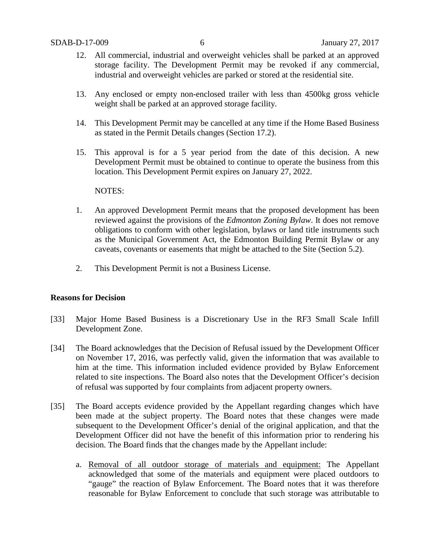- 12. All commercial, industrial and overweight vehicles shall be parked at an approved storage facility. The Development Permit may be revoked if any commercial, industrial and overweight vehicles are parked or stored at the residential site.
- 13. Any enclosed or empty non-enclosed trailer with less than 4500kg gross vehicle weight shall be parked at an approved storage facility.
- 14. This Development Permit may be cancelled at any time if the Home Based Business as stated in the Permit Details changes (Section 17.2).
- 15. This approval is for a 5 year period from the date of this decision. A new Development Permit must be obtained to continue to operate the business from this location. This Development Permit expires on January 27, 2022.

### NOTES:

- 1. An approved Development Permit means that the proposed development has been reviewed against the provisions of the *Edmonton Zoning Bylaw*. It does not remove obligations to conform with other legislation, bylaws or land title instruments such as the Municipal Government Act, the Edmonton Building Permit Bylaw or any caveats, covenants or easements that might be attached to the Site (Section 5.2).
- 2. This Development Permit is not a Business License.

# **Reasons for Decision**

- [33] Major Home Based Business is a Discretionary Use in the RF3 Small Scale Infill Development Zone.
- [34] The Board acknowledges that the Decision of Refusal issued by the Development Officer on November 17, 2016, was perfectly valid, given the information that was available to him at the time. This information included evidence provided by Bylaw Enforcement related to site inspections. The Board also notes that the Development Officer's decision of refusal was supported by four complaints from adjacent property owners.
- [35] The Board accepts evidence provided by the Appellant regarding changes which have been made at the subject property. The Board notes that these changes were made subsequent to the Development Officer's denial of the original application, and that the Development Officer did not have the benefit of this information prior to rendering his decision. The Board finds that the changes made by the Appellant include:
	- a. Removal of all outdoor storage of materials and equipment: The Appellant acknowledged that some of the materials and equipment were placed outdoors to "gauge" the reaction of Bylaw Enforcement. The Board notes that it was therefore reasonable for Bylaw Enforcement to conclude that such storage was attributable to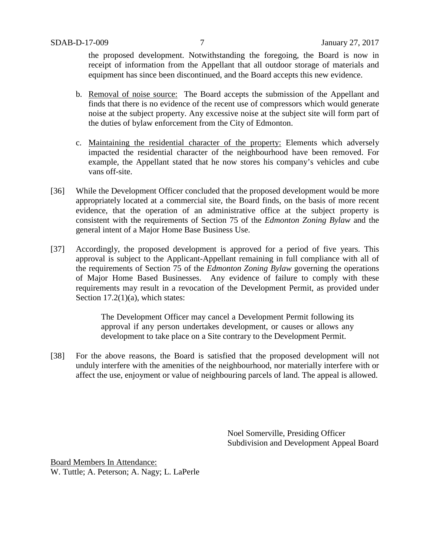the proposed development. Notwithstanding the foregoing, the Board is now in receipt of information from the Appellant that all outdoor storage of materials and equipment has since been discontinued, and the Board accepts this new evidence.

- b. Removal of noise source: The Board accepts the submission of the Appellant and finds that there is no evidence of the recent use of compressors which would generate noise at the subject property. Any excessive noise at the subject site will form part of the duties of bylaw enforcement from the City of Edmonton.
- c. Maintaining the residential character of the property: Elements which adversely impacted the residential character of the neighbourhood have been removed. For example, the Appellant stated that he now stores his company's vehicles and cube vans off-site.
- [36] While the Development Officer concluded that the proposed development would be more appropriately located at a commercial site, the Board finds, on the basis of more recent evidence, that the operation of an administrative office at the subject property is consistent with the requirements of Section 75 of the *Edmonton Zoning Bylaw* and the general intent of a Major Home Base Business Use.
- [37] Accordingly, the proposed development is approved for a period of five years. This approval is subject to the Applicant-Appellant remaining in full compliance with all of the requirements of Section 75 of the *Edmonton Zoning Bylaw* governing the operations of Major Home Based Businesses. Any evidence of failure to comply with these requirements may result in a revocation of the Development Permit, as provided under Section  $17.2(1)(a)$ , which states:

The Development Officer may cancel a Development Permit following its approval if any person undertakes development, or causes or allows any development to take place on a Site contrary to the Development Permit.

[38] For the above reasons, the Board is satisfied that the proposed development will not unduly interfere with the amenities of the neighbourhood, nor materially interfere with or affect the use, enjoyment or value of neighbouring parcels of land. The appeal is allowed.

> Noel Somerville, Presiding Officer Subdivision and Development Appeal Board

Board Members In Attendance: W. Tuttle; A. Peterson; A. Nagy; L. LaPerle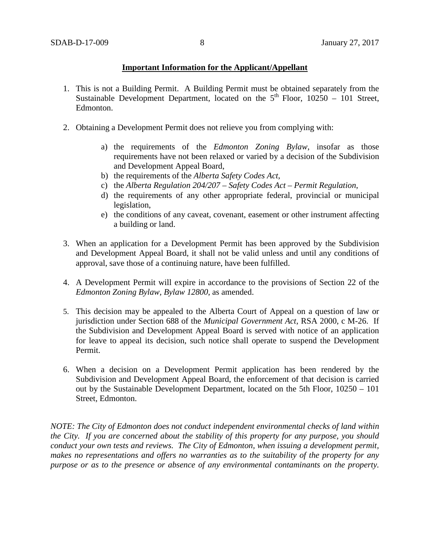# **Important Information for the Applicant/Appellant**

- 1. This is not a Building Permit. A Building Permit must be obtained separately from the Sustainable Development Department, located on the  $5<sup>th</sup>$  Floor, 10250 – 101 Street, Edmonton.
- 2. Obtaining a Development Permit does not relieve you from complying with:
	- a) the requirements of the *Edmonton Zoning Bylaw*, insofar as those requirements have not been relaxed or varied by a decision of the Subdivision and Development Appeal Board,
	- b) the requirements of the *Alberta Safety Codes Act*,
	- c) the *Alberta Regulation 204/207 – Safety Codes Act – Permit Regulation*,
	- d) the requirements of any other appropriate federal, provincial or municipal legislation,
	- e) the conditions of any caveat, covenant, easement or other instrument affecting a building or land.
- 3. When an application for a Development Permit has been approved by the Subdivision and Development Appeal Board, it shall not be valid unless and until any conditions of approval, save those of a continuing nature, have been fulfilled.
- 4. A Development Permit will expire in accordance to the provisions of Section 22 of the *Edmonton Zoning Bylaw, Bylaw 12800*, as amended.
- 5. This decision may be appealed to the Alberta Court of Appeal on a question of law or jurisdiction under Section 688 of the *Municipal Government Act*, RSA 2000, c M-26. If the Subdivision and Development Appeal Board is served with notice of an application for leave to appeal its decision, such notice shall operate to suspend the Development Permit.
- 6. When a decision on a Development Permit application has been rendered by the Subdivision and Development Appeal Board, the enforcement of that decision is carried out by the Sustainable Development Department, located on the 5th Floor, 10250 – 101 Street, Edmonton.

*NOTE: The City of Edmonton does not conduct independent environmental checks of land within the City. If you are concerned about the stability of this property for any purpose, you should conduct your own tests and reviews. The City of Edmonton, when issuing a development permit, makes no representations and offers no warranties as to the suitability of the property for any purpose or as to the presence or absence of any environmental contaminants on the property.*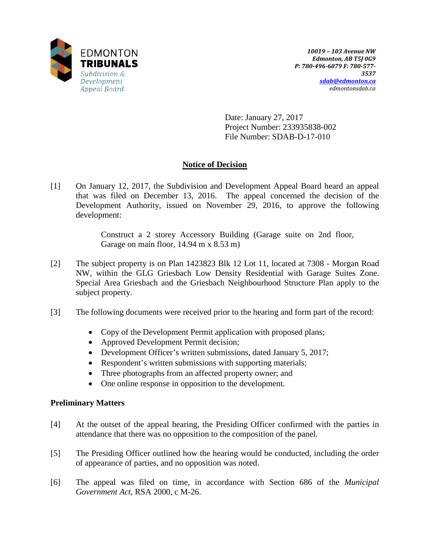

Date: January 27, 2017 Project Number: 233935838-002 File Number: SDAB-D-17-010

# **Notice of Decision**

[1] On January 12, 2017, the Subdivision and Development Appeal Board heard an appeal that was filed on December 13, 2016. The appeal concerned the decision of the Development Authority, issued on November 29, 2016, to approve the following development:

> Construct a 2 storey Accessory Building (Garage suite on 2nd floor, Garage on main floor, 14.94 m x 8.53 m)

- [2] The subject property is on Plan 1423823 Blk 12 Lot 11, located at 7308 Morgan Road NW, within the GLG Griesbach Low Density Residential with Garage Suites Zone. Special Area Griesbach and the Griesbach Neighbourhood Structure Plan apply to the subject property.
- [3] The following documents were received prior to the hearing and form part of the record:
	- Copy of the Development Permit application with proposed plans;
	- Approved Development Permit decision;
	- Development Officer's written submissions, dated January 5, 2017;
	- Respondent's written submissions with supporting materials;
	- Three photographs from an affected property owner; and
	- One online response in opposition to the development.

# **Preliminary Matters**

- [4] At the outset of the appeal hearing, the Presiding Officer confirmed with the parties in attendance that there was no opposition to the composition of the panel.
- [5] The Presiding Officer outlined how the hearing would be conducted, including the order of appearance of parties, and no opposition was noted.
- [6] The appeal was filed on time, in accordance with Section 686 of the *Municipal Government Act*, RSA 2000, c M-26.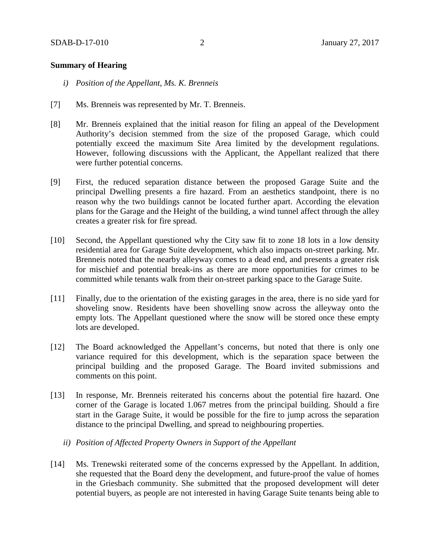### **Summary of Hearing**

- *i) Position of the Appellant, Ms. K. Brenneis*
- [7] Ms. Brenneis was represented by Mr. T. Brenneis.
- [8] Mr. Brenneis explained that the initial reason for filing an appeal of the Development Authority's decision stemmed from the size of the proposed Garage, which could potentially exceed the maximum Site Area limited by the development regulations. However, following discussions with the Applicant, the Appellant realized that there were further potential concerns.
- [9] First, the reduced separation distance between the proposed Garage Suite and the principal Dwelling presents a fire hazard. From an aesthetics standpoint, there is no reason why the two buildings cannot be located further apart. According the elevation plans for the Garage and the Height of the building, a wind tunnel affect through the alley creates a greater risk for fire spread.
- [10] Second, the Appellant questioned why the City saw fit to zone 18 lots in a low density residential area for Garage Suite development, which also impacts on-street parking. Mr. Brenneis noted that the nearby alleyway comes to a dead end, and presents a greater risk for mischief and potential break-ins as there are more opportunities for crimes to be committed while tenants walk from their on-street parking space to the Garage Suite.
- [11] Finally, due to the orientation of the existing garages in the area, there is no side yard for shoveling snow. Residents have been shovelling snow across the alleyway onto the empty lots. The Appellant questioned where the snow will be stored once these empty lots are developed.
- [12] The Board acknowledged the Appellant's concerns, but noted that there is only one variance required for this development, which is the separation space between the principal building and the proposed Garage. The Board invited submissions and comments on this point.
- [13] In response, Mr. Brenneis reiterated his concerns about the potential fire hazard. One corner of the Garage is located 1.067 metres from the principal building. Should a fire start in the Garage Suite, it would be possible for the fire to jump across the separation distance to the principal Dwelling, and spread to neighbouring properties.
	- *ii) Position of Affected Property Owners in Support of the Appellant*
- [14] Ms. Trenewski reiterated some of the concerns expressed by the Appellant. In addition, she requested that the Board deny the development, and future-proof the value of homes in the Griesbach community. She submitted that the proposed development will deter potential buyers, as people are not interested in having Garage Suite tenants being able to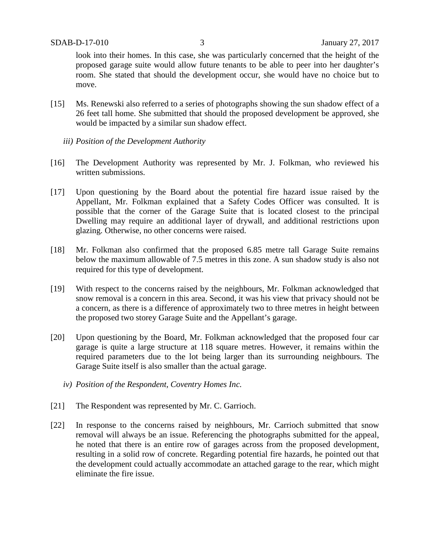look into their homes. In this case, she was particularly concerned that the height of the proposed garage suite would allow future tenants to be able to peer into her daughter's room. She stated that should the development occur, she would have no choice but to move.

- [15] Ms. Renewski also referred to a series of photographs showing the sun shadow effect of a 26 feet tall home. She submitted that should the proposed development be approved, she would be impacted by a similar sun shadow effect.
	- *iii) Position of the Development Authority*
- [16] The Development Authority was represented by Mr. J. Folkman, who reviewed his written submissions.
- [17] Upon questioning by the Board about the potential fire hazard issue raised by the Appellant, Mr. Folkman explained that a Safety Codes Officer was consulted. It is possible that the corner of the Garage Suite that is located closest to the principal Dwelling may require an additional layer of drywall, and additional restrictions upon glazing. Otherwise, no other concerns were raised.
- [18] Mr. Folkman also confirmed that the proposed 6.85 metre tall Garage Suite remains below the maximum allowable of 7.5 metres in this zone. A sun shadow study is also not required for this type of development.
- [19] With respect to the concerns raised by the neighbours, Mr. Folkman acknowledged that snow removal is a concern in this area. Second, it was his view that privacy should not be a concern, as there is a difference of approximately two to three metres in height between the proposed two storey Garage Suite and the Appellant's garage.
- [20] Upon questioning by the Board, Mr. Folkman acknowledged that the proposed four car garage is quite a large structure at 118 square metres. However, it remains within the required parameters due to the lot being larger than its surrounding neighbours. The Garage Suite itself is also smaller than the actual garage.
	- *iv) Position of the Respondent, Coventry Homes Inc.*
- [21] The Respondent was represented by Mr. C. Garrioch.
- [22] In response to the concerns raised by neighbours, Mr. Carrioch submitted that snow removal will always be an issue. Referencing the photographs submitted for the appeal, he noted that there is an entire row of garages across from the proposed development, resulting in a solid row of concrete. Regarding potential fire hazards, he pointed out that the development could actually accommodate an attached garage to the rear, which might eliminate the fire issue.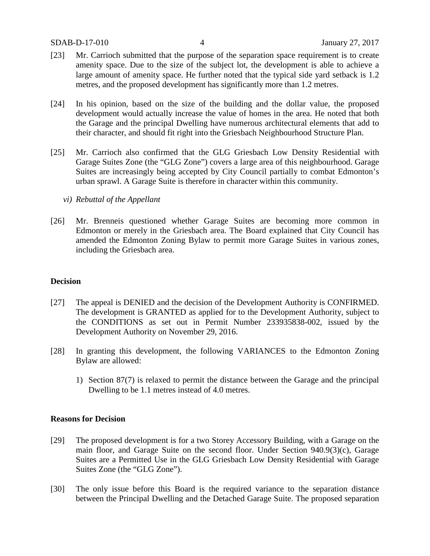- [23] Mr. Carrioch submitted that the purpose of the separation space requirement is to create amenity space. Due to the size of the subject lot, the development is able to achieve a large amount of amenity space. He further noted that the typical side yard setback is 1.2 metres, and the proposed development has significantly more than 1.2 metres.
- [24] In his opinion, based on the size of the building and the dollar value, the proposed development would actually increase the value of homes in the area. He noted that both the Garage and the principal Dwelling have numerous architectural elements that add to their character, and should fit right into the Griesbach Neighbourhood Structure Plan.
- [25] Mr. Carrioch also confirmed that the GLG Griesbach Low Density Residential with Garage Suites Zone (the "GLG Zone") covers a large area of this neighbourhood. Garage Suites are increasingly being accepted by City Council partially to combat Edmonton's urban sprawl. A Garage Suite is therefore in character within this community.
	- *vi) Rebuttal of the Appellant*
- [26] Mr. Brenneis questioned whether Garage Suites are becoming more common in Edmonton or merely in the Griesbach area. The Board explained that City Council has amended the Edmonton Zoning Bylaw to permit more Garage Suites in various zones, including the Griesbach area.

#### **Decision**

- [27] The appeal is DENIED and the decision of the Development Authority is CONFIRMED. The development is GRANTED as applied for to the Development Authority, subject to the CONDITIONS as set out in Permit Number 233935838-002, issued by the Development Authority on November 29, 2016.
- [28] In granting this development, the following VARIANCES to the Edmonton Zoning Bylaw are allowed:
	- 1) Section 87(7) is relaxed to permit the distance between the Garage and the principal Dwelling to be 1.1 metres instead of 4.0 metres.

#### **Reasons for Decision**

- [29] The proposed development is for a two Storey Accessory Building, with a Garage on the main floor, and Garage Suite on the second floor. Under Section 940.9(3)(c), Garage Suites are a Permitted Use in the GLG Griesbach Low Density Residential with Garage Suites Zone (the "GLG Zone").
- [30] The only issue before this Board is the required variance to the separation distance between the Principal Dwelling and the Detached Garage Suite. The proposed separation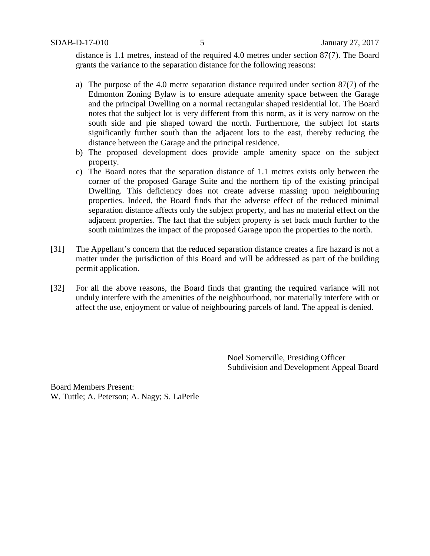distance is 1.1 metres, instead of the required 4.0 metres under section 87(7). The Board grants the variance to the separation distance for the following reasons:

- a) The purpose of the 4.0 metre separation distance required under section 87(7) of the Edmonton Zoning Bylaw is to ensure adequate amenity space between the Garage and the principal Dwelling on a normal rectangular shaped residential lot. The Board notes that the subject lot is very different from this norm, as it is very narrow on the south side and pie shaped toward the north. Furthermore, the subject lot starts significantly further south than the adjacent lots to the east, thereby reducing the distance between the Garage and the principal residence.
- b) The proposed development does provide ample amenity space on the subject property.
- c) The Board notes that the separation distance of 1.1 metres exists only between the corner of the proposed Garage Suite and the northern tip of the existing principal Dwelling. This deficiency does not create adverse massing upon neighbouring properties. Indeed, the Board finds that the adverse effect of the reduced minimal separation distance affects only the subject property, and has no material effect on the adjacent properties. The fact that the subject property is set back much further to the south minimizes the impact of the proposed Garage upon the properties to the north.
- [31] The Appellant's concern that the reduced separation distance creates a fire hazard is not a matter under the jurisdiction of this Board and will be addressed as part of the building permit application.
- [32] For all the above reasons, the Board finds that granting the required variance will not unduly interfere with the amenities of the neighbourhood, nor materially interfere with or affect the use, enjoyment or value of neighbouring parcels of land. The appeal is denied.

Noel Somerville, Presiding Officer Subdivision and Development Appeal Board

Board Members Present: W. Tuttle; A. Peterson; A. Nagy; S. LaPerle